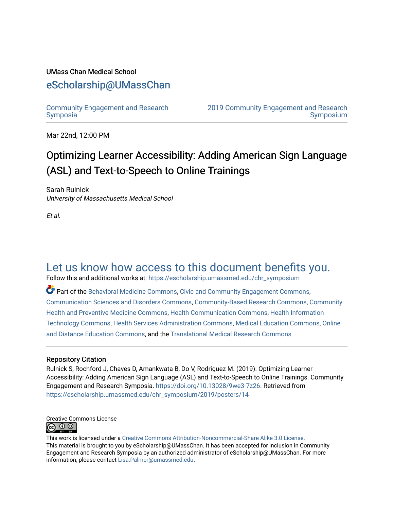### UMass Chan Medical School

### [eScholarship@UMassChan](https://escholarship.umassmed.edu/)

[Community Engagement and Research](https://escholarship.umassmed.edu/chr_symposium)  [Symposia](https://escholarship.umassmed.edu/chr_symposium)

[2019 Community Engagement and Research](https://escholarship.umassmed.edu/chr_symposium/2019)  [Symposium](https://escholarship.umassmed.edu/chr_symposium/2019) 

Mar 22nd, 12:00 PM

### Optimizing Learner Accessibility: Adding American Sign Language (ASL) and Text-to-Speech to Online Trainings

Sarah Rulnick University of Massachusetts Medical School

Et al.

### [Let us know how access to this document benefits you.](https://arcsapps.umassmed.edu/redcap/surveys/?s=XWRHNF9EJE)

Follow this and additional works at: [https://escholarship.umassmed.edu/chr\\_symposium](https://escholarship.umassmed.edu/chr_symposium?utm_source=escholarship.umassmed.edu%2Fchr_symposium%2F2019%2Fposters%2F14&utm_medium=PDF&utm_campaign=PDFCoverPages) 

Part of the [Behavioral Medicine Commons](http://network.bepress.com/hgg/discipline/1405?utm_source=escholarship.umassmed.edu%2Fchr_symposium%2F2019%2Fposters%2F14&utm_medium=PDF&utm_campaign=PDFCoverPages), [Civic and Community Engagement Commons](http://network.bepress.com/hgg/discipline/1028?utm_source=escholarship.umassmed.edu%2Fchr_symposium%2F2019%2Fposters%2F14&utm_medium=PDF&utm_campaign=PDFCoverPages), [Communication Sciences and Disorders Commons](http://network.bepress.com/hgg/discipline/1019?utm_source=escholarship.umassmed.edu%2Fchr_symposium%2F2019%2Fposters%2F14&utm_medium=PDF&utm_campaign=PDFCoverPages), [Community-Based Research Commons,](http://network.bepress.com/hgg/discipline/1047?utm_source=escholarship.umassmed.edu%2Fchr_symposium%2F2019%2Fposters%2F14&utm_medium=PDF&utm_campaign=PDFCoverPages) [Community](http://network.bepress.com/hgg/discipline/744?utm_source=escholarship.umassmed.edu%2Fchr_symposium%2F2019%2Fposters%2F14&utm_medium=PDF&utm_campaign=PDFCoverPages) [Health and Preventive Medicine Commons](http://network.bepress.com/hgg/discipline/744?utm_source=escholarship.umassmed.edu%2Fchr_symposium%2F2019%2Fposters%2F14&utm_medium=PDF&utm_campaign=PDFCoverPages), [Health Communication Commons,](http://network.bepress.com/hgg/discipline/330?utm_source=escholarship.umassmed.edu%2Fchr_symposium%2F2019%2Fposters%2F14&utm_medium=PDF&utm_campaign=PDFCoverPages) [Health Information](http://network.bepress.com/hgg/discipline/1239?utm_source=escholarship.umassmed.edu%2Fchr_symposium%2F2019%2Fposters%2F14&utm_medium=PDF&utm_campaign=PDFCoverPages)  [Technology Commons,](http://network.bepress.com/hgg/discipline/1239?utm_source=escholarship.umassmed.edu%2Fchr_symposium%2F2019%2Fposters%2F14&utm_medium=PDF&utm_campaign=PDFCoverPages) [Health Services Administration Commons,](http://network.bepress.com/hgg/discipline/747?utm_source=escholarship.umassmed.edu%2Fchr_symposium%2F2019%2Fposters%2F14&utm_medium=PDF&utm_campaign=PDFCoverPages) [Medical Education Commons,](http://network.bepress.com/hgg/discipline/1125?utm_source=escholarship.umassmed.edu%2Fchr_symposium%2F2019%2Fposters%2F14&utm_medium=PDF&utm_campaign=PDFCoverPages) [Online](http://network.bepress.com/hgg/discipline/1296?utm_source=escholarship.umassmed.edu%2Fchr_symposium%2F2019%2Fposters%2F14&utm_medium=PDF&utm_campaign=PDFCoverPages) [and Distance Education Commons](http://network.bepress.com/hgg/discipline/1296?utm_source=escholarship.umassmed.edu%2Fchr_symposium%2F2019%2Fposters%2F14&utm_medium=PDF&utm_campaign=PDFCoverPages), and the [Translational Medical Research Commons](http://network.bepress.com/hgg/discipline/1124?utm_source=escholarship.umassmed.edu%2Fchr_symposium%2F2019%2Fposters%2F14&utm_medium=PDF&utm_campaign=PDFCoverPages)

### Repository Citation

Rulnick S, Rochford J, Chaves D, Amankwata B, Do V, Rodriguez M. (2019). Optimizing Learner Accessibility: Adding American Sign Language (ASL) and Text-to-Speech to Online Trainings. Community Engagement and Research Symposia.<https://doi.org/10.13028/9we3-7z26>. Retrieved from [https://escholarship.umassmed.edu/chr\\_symposium/2019/posters/14](https://escholarship.umassmed.edu/chr_symposium/2019/posters/14?utm_source=escholarship.umassmed.edu%2Fchr_symposium%2F2019%2Fposters%2F14&utm_medium=PDF&utm_campaign=PDFCoverPages) 

Creative Commons License **©** 0 ©

This work is licensed under a [Creative Commons Attribution-Noncommercial-Share Alike 3.0 License.](http://creativecommons.org/licenses/by-nc-sa/3.0/) This material is brought to you by eScholarship@UMassChan. It has been accepted for inclusion in Community Engagement and Research Symposia by an authorized administrator of eScholarship@UMassChan. For more information, please contact [Lisa.Palmer@umassmed.edu.](mailto:Lisa.Palmer@umassmed.edu)